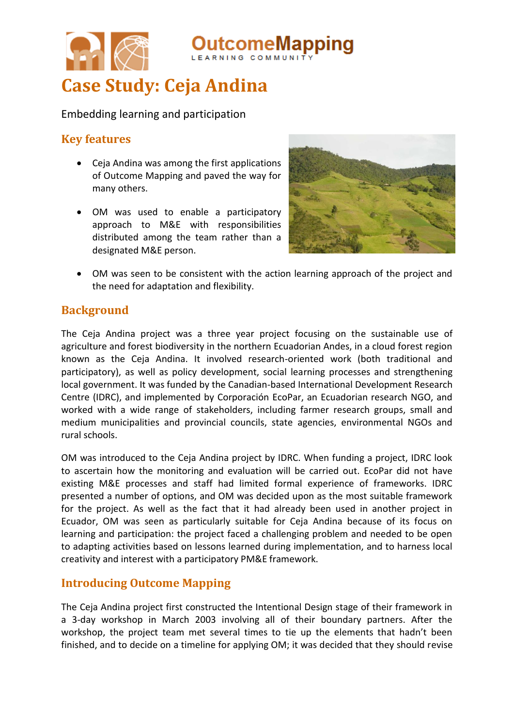

# **Case Study: Ceja Andina**

Embedding learning and participation

# **Key features**

- Ceja Andina was among the first applications of Outcome Mapping and paved the way for many others.
- OM was used to enable a participatory approach to M&E with responsibilities distributed among the team rather than a designated M&E person.



 OM was seen to be consistent with the action learning approach of the project and the need for adaptation and flexibility.

# **Background**

The Ceja Andina project was a three year project focusing on the sustainable use of agriculture and forest biodiversity in the northern Ecuadorian Andes, in a cloud forest region known as the Ceja Andina. It involved research-oriented work (both traditional and participatory), as well as policy development, social learning processes and strengthening local government. It was funded by the Canadian-based International Development Research Centre (IDRC), and implemented by Corporación EcoPar, an Ecuadorian research NGO, and worked with a wide range of stakeholders, including farmer research groups, small and medium municipalities and provincial councils, state agencies, environmental NGOs and rural schools.

OM was introduced to the Ceja Andina project by IDRC. When funding a project, IDRC look to ascertain how the monitoring and evaluation will be carried out. EcoPar did not have existing M&E processes and staff had limited formal experience of frameworks. IDRC presented a number of options, and OM was decided upon as the most suitable framework for the project. As well as the fact that it had already been used in another project in Ecuador, OM was seen as particularly suitable for Ceja Andina because of its focus on learning and participation: the project faced a challenging problem and needed to be open to adapting activities based on lessons learned during implementation, and to harness local creativity and interest with a participatory PM&E framework.

# **Introducing Outcome Mapping**

The Ceja Andina project first constructed the Intentional Design stage of their framework in a 3-day workshop in March 2003 involving all of their boundary partners. After the workshop, the project team met several times to tie up the elements that hadn't been finished, and to decide on a timeline for applying OM; it was decided that they should revise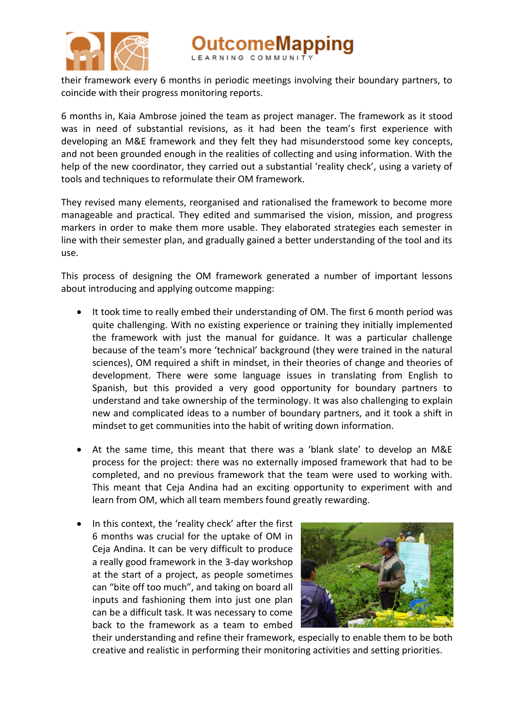

comeMapping

their framework every 6 months in periodic meetings involving their boundary partners, to coincide with their progress monitoring reports.

6 months in, Kaia Ambrose joined the team as project manager. The framework as it stood was in need of substantial revisions, as it had been the team's first experience with developing an M&E framework and they felt they had misunderstood some key concepts, and not been grounded enough in the realities of collecting and using information. With the help of the new coordinator, they carried out a substantial 'reality check', using a variety of tools and techniques to reformulate their OM framework.

They revised many elements, reorganised and rationalised the framework to become more manageable and practical. They edited and summarised the vision, mission, and progress markers in order to make them more usable. They elaborated strategies each semester in line with their semester plan, and gradually gained a better understanding of the tool and its use.

This process of designing the OM framework generated a number of important lessons about introducing and applying outcome mapping:

- It took time to really embed their understanding of OM. The first 6 month period was quite challenging. With no existing experience or training they initially implemented the framework with just the manual for guidance. It was a particular challenge because of the team's more 'technical' background (they were trained in the natural sciences), OM required a shift in mindset, in their theories of change and theories of development. There were some language issues in translating from English to Spanish, but this provided a very good opportunity for boundary partners to understand and take ownership of the terminology. It was also challenging to explain new and complicated ideas to a number of boundary partners, and it took a shift in mindset to get communities into the habit of writing down information.
- At the same time, this meant that there was a 'blank slate' to develop an M&E process for the project: there was no externally imposed framework that had to be completed, and no previous framework that the team were used to working with. This meant that Ceja Andina had an exciting opportunity to experiment with and learn from OM, which all team members found greatly rewarding.
- In this context, the 'reality check' after the first 6 months was crucial for the uptake of OM in Ceja Andina. It can be very difficult to produce a really good framework in the 3-day workshop at the start of a project, as people sometimes can "bite off too much", and taking on board all inputs and fashioning them into just one plan can be a difficult task. It was necessary to come back to the framework as a team to embed



their understanding and refine their framework, especially to enable them to be both creative and realistic in performing their monitoring activities and setting priorities.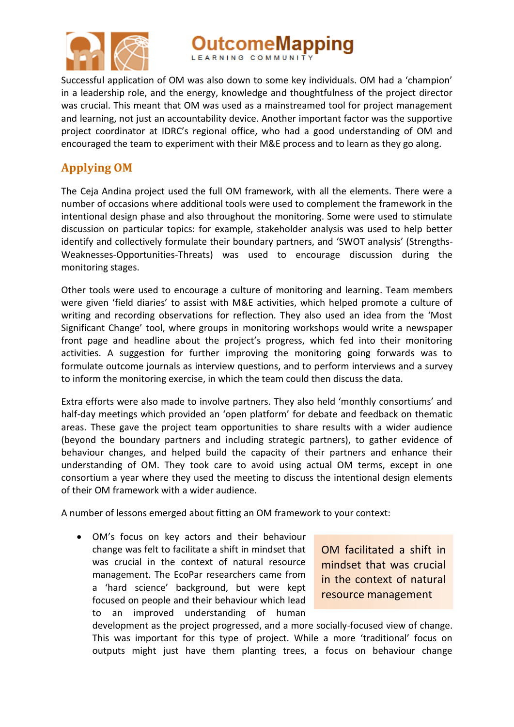

**utcomeMapping** 

Successful application of OM was also down to some key individuals. OM had a 'champion' in a leadership role, and the energy, knowledge and thoughtfulness of the project director was crucial. This meant that OM was used as a mainstreamed tool for project management and learning, not just an accountability device. Another important factor was the supportive project coordinator at IDRC's regional office, who had a good understanding of OM and encouraged the team to experiment with their M&E process and to learn as they go along.

# **Applying OM**

The Ceja Andina project used the full OM framework, with all the elements. There were a number of occasions where additional tools were used to complement the framework in the intentional design phase and also throughout the monitoring. Some were used to stimulate discussion on particular topics: for example, stakeholder analysis was used to help better identify and collectively formulate their boundary partners, and 'SWOT analysis' (Strengths-Weaknesses-Opportunities-Threats) was used to encourage discussion during the monitoring stages.

Other tools were used to encourage a culture of monitoring and learning. Team members were given 'field diaries' to assist with M&E activities, which helped promote a culture of writing and recording observations for reflection. They also used an idea from the 'Most Significant Change' tool, where groups in monitoring workshops would write a newspaper front page and headline about the project's progress, which fed into their monitoring activities. A suggestion for further improving the monitoring going forwards was to formulate outcome journals as interview questions, and to perform interviews and a survey to inform the monitoring exercise, in which the team could then discuss the data.

Extra efforts were also made to involve partners. They also held 'monthly consortiums' and half-day meetings which provided an 'open platform' for debate and feedback on thematic areas. These gave the project team opportunities to share results with a wider audience (beyond the boundary partners and including strategic partners), to gather evidence of behaviour changes, and helped build the capacity of their partners and enhance their understanding of OM. They took care to avoid using actual OM terms, except in one consortium a year where they used the meeting to discuss the intentional design elements of their OM framework with a wider audience.

A number of lessons emerged about fitting an OM framework to your context:

 OM's focus on key actors and their behaviour change was felt to facilitate a shift in mindset that was crucial in the context of natural resource management. The EcoPar researchers came from a 'hard science' background, but were kept focused on people and their behaviour which lead to an improved understanding of human

OM facilitated a shift in mindset that was crucial in the context of natural resource management

development as the project progressed, and a more socially-focused view of change. This was important for this type of project. While a more 'traditional' focus on outputs might just have them planting trees, a focus on behaviour change